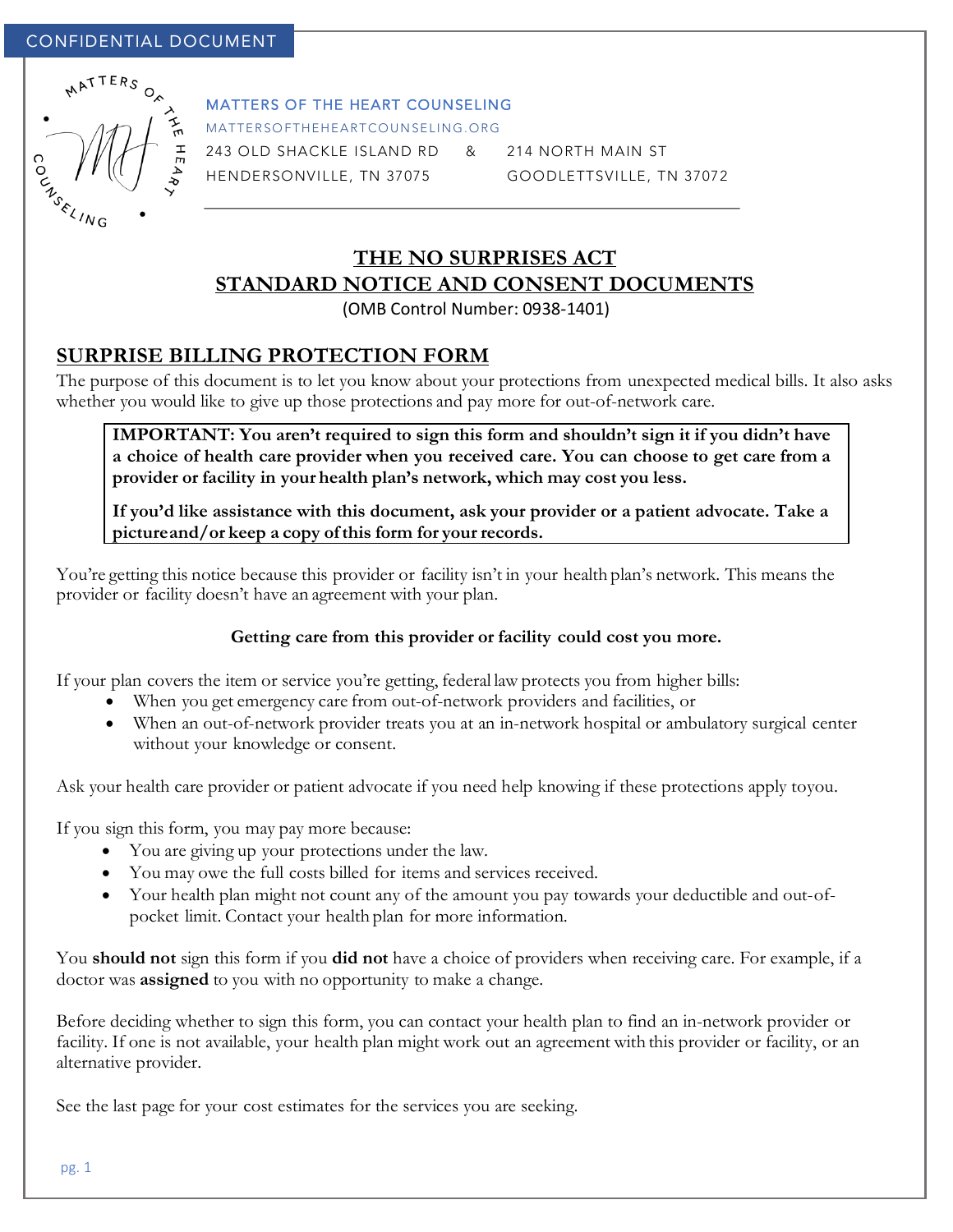

#### MATTERS OF THE HEART COUNSELING

MATTERSOFTHEHEARTCOUNSELING.ORG

243 OLD SHACKLE ISLAND RD & 214 NORTH MAIN ST

HENDERSONVILLE, TN 37075 GOODLETTSVILLE, TN 37072

# **THE NO SURPRISES ACT STANDARD NOTICE AND CONSENT DOCUMENTS**

(OMB Control Number: 0938-1401)

## **SURPRISE BILLING PROTECTION FORM**

The purpose of this document is to let you know about your protections from unexpected medical bills. It also asks whether you would like to give up those protections and pay more for out-of-network care.

**IMPORTANT: You aren't required to sign this form and shouldn't sign it if you didn't have a choice of health care provider when you received care. You can choose to get care from a provider or facility in your health plan's network, which may cost you less.**

**If you'd like assistance with this document, ask your provider or a patient advocate. Take a pictureand/or keep a copy ofthis form for your records.**

You're getting this notice because this provider or facility isn't in your health plan's network. This means the provider or facility doesn't have an agreement with your plan.

## **Getting care from this provider or facility could cost you more.**

If your plan covers the item or service you're getting, federal law protects you from higher bills:

- When you get emergency care from out-of-network providers and facilities, or
- When an out-of-network provider treats you at an in-network hospital or ambulatory surgical center without your knowledge or consent.

Ask your health care provider or patient advocate if you need help knowing if these protections apply toyou.

If you sign this form, you may pay more because:

- You are giving up your protections under the law.
- You may owe the full costs billed for items and services received.
- Your health plan might not count any of the amount you pay towards your deductible and out-ofpocket limit. Contact your health plan for more information.

You **should not** sign this form if you **did not** have a choice of providers when receiving care. For example, if a doctor was **assigned** to you with no opportunity to make a change.

Before deciding whether to sign this form, you can contact your health plan to find an in-network provider or facility. If one is not available, your health plan might work out an agreement with this provider or facility, or an alternative provider.

See the last page for your cost estimates for the services you are seeking.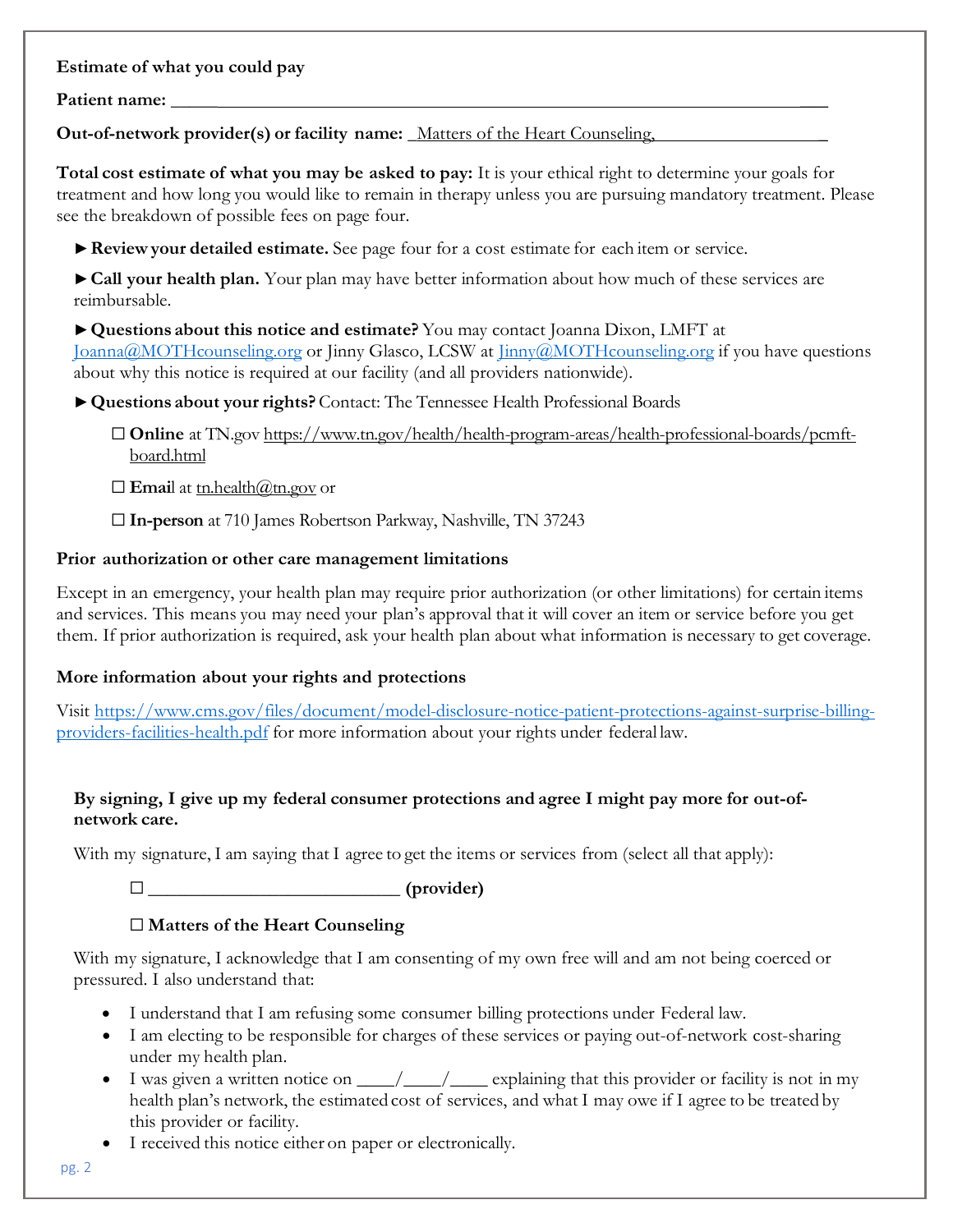## **Estimate of what you could pay**

#### **Patient name: \_\_\_\_\_ \_\_\_**

**Out-of-network provider(s) or facility name: \_**Matters of the Heart Counseling, \_

**Total cost estimate of what you may be asked to pay:** It is your ethical right to determine your goals for treatment and how long you would like to remain in therapy unless you are pursuing mandatory treatment. Please see the breakdown of possible fees on page four.

**►Review your detailed estimate.** See page four for a cost estimate for each item or service.

**►Call your health plan.** Your plan may have better information about how much of these services are reimbursable.

**►Questions about this notice and estimate?** You may contact Joanna Dixon, LMFT at Joanna@MOTHcounseling.org or Jinny Glasco, LCSW at Jinny@MOTHcounseling.org if you have questions about why this notice is required at our facility (and all providers nationwide).

**►Questions about your rights?** Contact: The Tennessee Health Professional Boards

☐ **Online** at TN.gov https://www.tn.gov/health/health-program-areas/health-professional-boards/pcmftboard.html

 $\Box$  **Emai**l at <u>tn.health@tn.gov</u> or

☐ **In-person** at 710 James Robertson Parkway, Nashville, TN 37243

## **Prior authorization or other care management limitations**

Except in an emergency, your health plan may require prior authorization (or other limitations) for certain items and services. This means you may need your plan's approval that it will cover an item or service before you get them. If prior authorization is required, ask your health plan about what information is necessary to get coverage.

## **More information about your rights and protections**

Visit https://www.cms.gov/files/document/model-disclosure-notice-patient-protections-against-surprise-billingproviders-facilities-health.pdf for more information about your rights under federal law.

## **By signing, I give up my federal consumer protections and agree I might pay more for out-ofnetwork care.**

With my signature, I am saying that I agree to get the items or services from (select all that apply):

☐ **\_\_\_\_\_\_\_\_\_\_\_\_\_\_\_\_\_\_\_\_\_\_\_\_\_\_\_ (provider)**

## ☐ **Matters of the Heart Counseling**

With my signature, I acknowledge that I am consenting of my own free will and am not being coerced or pressured. I also understand that:

- I understand that I am refusing some consumer billing protections under Federal law.
- I am electing to be responsible for charges of these services or paying out-of-network cost-sharing under my health plan.
- I was given a written notice on  $\qquad$  / explaining that this provider or facility is not in my health plan's network, the estimated cost of services, and what I may owe if I agree to be treated by this provider or facility.
- I received this notice either on paper or electronically.